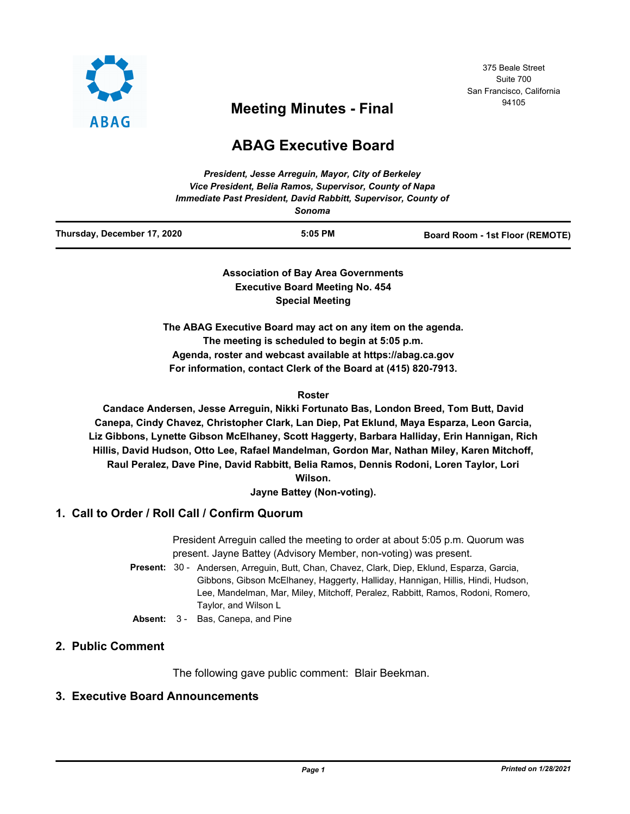

## 375 Beale Street Suite 700 San Francisco, California

# <sup>94105</sup> **Meeting Minutes - Final**

## **ABAG Executive Board**

| Thursday, December 17, 2020 | $5:05$ PM                                                                | Board Room - 1st Floor (REMOTE) |
|-----------------------------|--------------------------------------------------------------------------|---------------------------------|
|                             | Immediate Past President, David Rabbitt, Supervisor, County of<br>Sonoma |                                 |
|                             | Vice President, Belia Ramos, Supervisor, County of Napa                  |                                 |
|                             | President, Jesse Arrequin, Mayor, City of Berkeley                       |                                 |

**Association of Bay Area Governments Executive Board Meeting No. 454 Special Meeting**

**The ABAG Executive Board may act on any item on the agenda. The meeting is scheduled to begin at 5:05 p.m. Agenda, roster and webcast available at https://abag.ca.gov For information, contact Clerk of the Board at (415) 820-7913.**

#### **Roster**

**Candace Andersen, Jesse Arreguin, Nikki Fortunato Bas, London Breed, Tom Butt, David Canepa, Cindy Chavez, Christopher Clark, Lan Diep, Pat Eklund, Maya Esparza, Leon Garcia, Liz Gibbons, Lynette Gibson McElhaney, Scott Haggerty, Barbara Halliday, Erin Hannigan, Rich Hillis, David Hudson, Otto Lee, Rafael Mandelman, Gordon Mar, Nathan Miley, Karen Mitchoff, Raul Peralez, Dave Pine, David Rabbitt, Belia Ramos, Dennis Rodoni, Loren Taylor, Lori Wilson.**

**Jayne Battey (Non-voting).**

## **1. Call to Order / Roll Call / Confirm Quorum**

President Arreguin called the meeting to order at about 5:05 p.m. Quorum was present. Jayne Battey (Advisory Member, non-voting) was present.

- Present: 30 Andersen, Arreguin, Butt, Chan, Chavez, Clark, Diep, Eklund, Esparza, Garcia, Gibbons, Gibson McElhaney, Haggerty, Halliday, Hannigan, Hillis, Hindi, Hudson, Lee, Mandelman, Mar, Miley, Mitchoff, Peralez, Rabbitt, Ramos, Rodoni, Romero, Taylor, and Wilson L
- **Absent:** 3 Bas, Canepa, and Pine

## **2. Public Comment**

The following gave public comment: Blair Beekman.

## **3. Executive Board Announcements**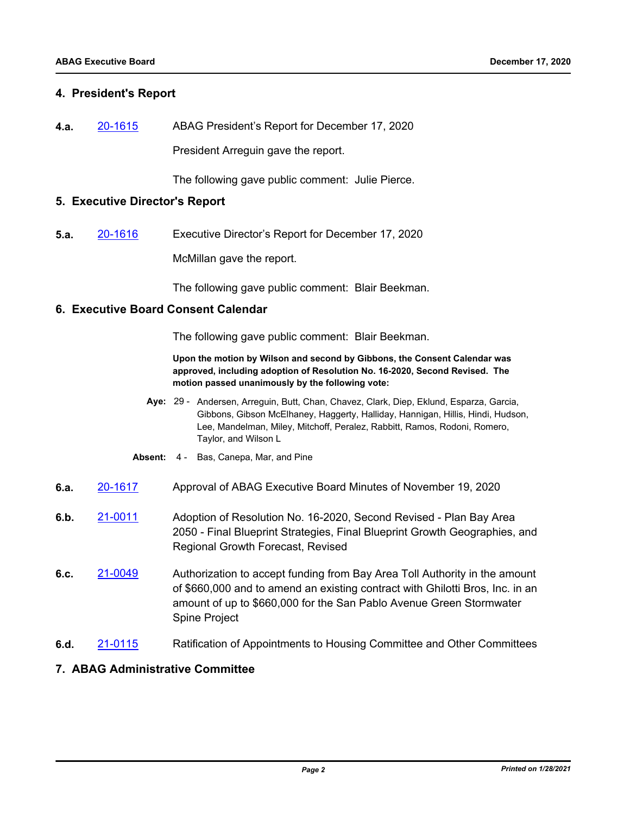#### **4. President's Report**

**4.a.** [20-1615](http://mtc.legistar.com/gateway.aspx?m=l&id=/matter.aspx?key=21480) ABAG President's Report for December 17, 2020 President Arreguin gave the report.

The following gave public comment: Julie Pierce.

#### **5. Executive Director's Report**

**5.a.** [20-1616](http://mtc.legistar.com/gateway.aspx?m=l&id=/matter.aspx?key=21481) Executive Director's Report for December 17, 2020 McMillan gave the report.

The following gave public comment: Blair Beekman.

#### **6. Executive Board Consent Calendar**

The following gave public comment: Blair Beekman.

**Upon the motion by Wilson and second by Gibbons, the Consent Calendar was approved, including adoption of Resolution No. 16-2020, Second Revised. The motion passed unanimously by the following vote:**

- Aye: 29 Andersen, Arreguin, Butt, Chan, Chavez, Clark, Diep, Eklund, Esparza, Garcia, Gibbons, Gibson McElhaney, Haggerty, Halliday, Hannigan, Hillis, Hindi, Hudson, Lee, Mandelman, Miley, Mitchoff, Peralez, Rabbitt, Ramos, Rodoni, Romero, Taylor, and Wilson L
- **Absent:** 4 Bas, Canepa, Mar, and Pine
- **6.a.** [20-1617](http://mtc.legistar.com/gateway.aspx?m=l&id=/matter.aspx?key=21482) Approval of ABAG Executive Board Minutes of November 19, 2020
- **6.b.** [21-0011](http://mtc.legistar.com/gateway.aspx?m=l&id=/matter.aspx?key=21604) Adoption of Resolution No. 16-2020, Second Revised Plan Bay Area 2050 - Final Blueprint Strategies, Final Blueprint Growth Geographies, and Regional Growth Forecast, Revised
- **6.c.** [21-0049](http://mtc.legistar.com/gateway.aspx?m=l&id=/matter.aspx?key=21642) Authorization to accept funding from Bay Area Toll Authority in the amount of \$660,000 and to amend an existing contract with Ghilotti Bros, Inc. in an amount of up to \$660,000 for the San Pablo Avenue Green Stormwater Spine Project
- **6.d.** [21-0115](http://mtc.legistar.com/gateway.aspx?m=l&id=/matter.aspx?key=21708) Ratification of Appointments to Housing Committee and Other Committees

#### **7. ABAG Administrative Committee**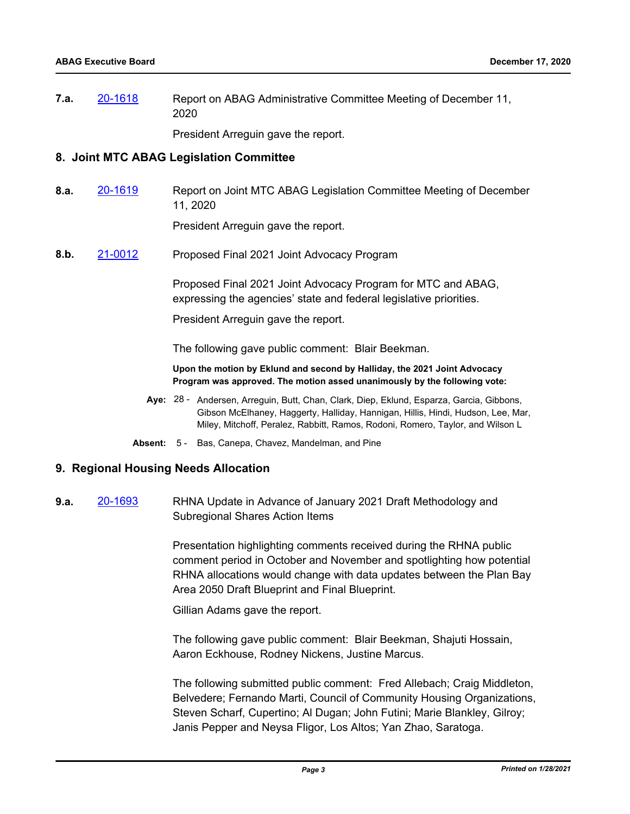**7.a.** [20-1618](http://mtc.legistar.com/gateway.aspx?m=l&id=/matter.aspx?key=21483) Report on ABAG Administrative Committee Meeting of December 11, 2020

President Arreguin gave the report.

#### **8. Joint MTC ABAG Legislation Committee**

**8.a.** [20-1619](http://mtc.legistar.com/gateway.aspx?m=l&id=/matter.aspx?key=21484) Report on Joint MTC ABAG Legislation Committee Meeting of December 11, 2020

President Arreguin gave the report.

**8.b.** [21-0012](http://mtc.legistar.com/gateway.aspx?m=l&id=/matter.aspx?key=21605) Proposed Final 2021 Joint Advocacy Program

Proposed Final 2021 Joint Advocacy Program for MTC and ABAG, expressing the agencies' state and federal legislative priorities.

President Arreguin gave the report.

The following gave public comment: Blair Beekman.

**Upon the motion by Eklund and second by Halliday, the 2021 Joint Advocacy Program was approved. The motion assed unanimously by the following vote:**

- Aye: 28 Andersen, Arreguin, Butt, Chan, Clark, Diep, Eklund, Esparza, Garcia, Gibbons, Gibson McElhaney, Haggerty, Halliday, Hannigan, Hillis, Hindi, Hudson, Lee, Mar, Miley, Mitchoff, Peralez, Rabbitt, Ramos, Rodoni, Romero, Taylor, and Wilson L
- **Absent:** 5 Bas, Canepa, Chavez, Mandelman, and Pine

#### **9. Regional Housing Needs Allocation**

**9.a.** [20-1693](http://mtc.legistar.com/gateway.aspx?m=l&id=/matter.aspx?key=21558) RHNA Update in Advance of January 2021 Draft Methodology and Subregional Shares Action Items

> Presentation highlighting comments received during the RHNA public comment period in October and November and spotlighting how potential RHNA allocations would change with data updates between the Plan Bay Area 2050 Draft Blueprint and Final Blueprint.

Gillian Adams gave the report.

The following gave public comment: Blair Beekman, Shajuti Hossain, Aaron Eckhouse, Rodney Nickens, Justine Marcus.

The following submitted public comment: Fred Allebach; Craig Middleton, Belvedere; Fernando Marti, Council of Community Housing Organizations, Steven Scharf, Cupertino; Al Dugan; John Futini; Marie Blankley, Gilroy; Janis Pepper and Neysa Fligor, Los Altos; Yan Zhao, Saratoga.